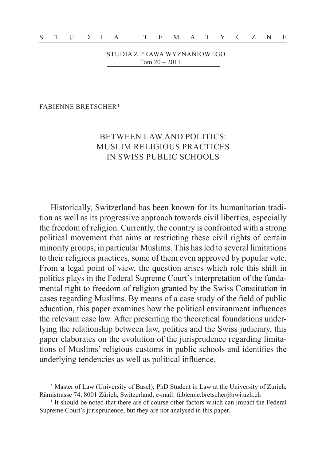STUDIA Z PRAWA WYZNANIOWEGO Tom 20 – 2017

FABIENNE BRETSCHER\*

# BETWEEN LAW AND POLITICS: MUSLIM RELIGIOUS PRACTICES IN SWISS PUBLIC SCHOOLS

Historically, Switzerland has been known for its humanitarian tradition as well as its progressive approach towards civil liberties, especially the freedom of religion. Currently, the country is confronted with a strong political movement that aims at restricting these civil rights of certain minority groups, in particular Muslims. This has led to several limitations to their religious practices, some of them even approved by popular vote. From a legal point of view, the question arises which role this shift in politics plays in the Federal Supreme Court's interpretation of the fundamental right to freedom of religion granted by the Swiss Constitution in cases regarding Muslims. By means of a case study of the field of public education, this paper examines how the political environment influences the relevant case law. After presenting the theoretical foundations underlying the relationship between law, politics and the Swiss judiciary, this paper elaborates on the evolution of the jurisprudence regarding limitations of Muslims' religious customs in public schools and identifies the underlying tendencies as well as political influence.<sup>1</sup>

<sup>\*</sup> Master of Law (University of Basel); PhD Student in Law at the University of Zurich, Rämistrasse 74, 8001 Zürich, Switzerland, e-mail: fabienne.bretscher@rwi.uzh.ch

<sup>&</sup>lt;sup>1</sup> It should be noted that there are of course other factors which can impact the Federal Supreme Court's jurisprudence, but they are not analysed in this paper.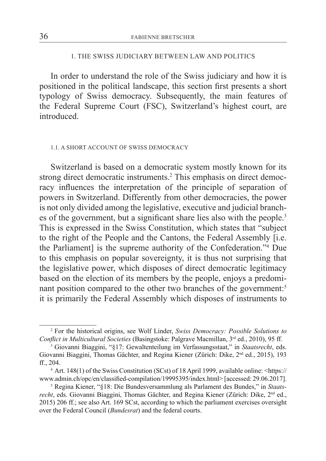### 1. THE SWISS JUDICIARY BETWEEN LAW AND POLITICS

In order to understand the role of the Swiss judiciary and how it is positioned in the political landscape, this section first presents a short typology of Swiss democracy. Subsequently, the main features of the Federal Supreme Court (FSC), Switzerland's highest court, are **introduced** 

#### 1.1. A SHORT ACCOUNT OF SWISS DEMOCRACY

Switzerland is based on a democratic system mostly known for its strong direct democratic instruments.<sup>2</sup> This emphasis on direct democracy influences the interpretation of the principle of separation of powers in Switzerland. Differently from other democracies, the power is not only divided among the legislative, executive and judicial branches of the government, but a significant share lies also with the people.<sup>3</sup> This is expressed in the Swiss Constitution, which states that "subject to the right of the People and the Cantons, the Federal Assembly [i.e. the Parliament] is the supreme authority of the Confederation."4 Due to this emphasis on popular sovereignty, it is thus not surprising that the legislative power, which disposes of direct democratic legitimacy based on the election of its members by the people, enjoys a predominant position compared to the other two branches of the government:<sup>5</sup> it is primarily the Federal Assembly which disposes of instruments to

<sup>2</sup> For the historical origins, see Wolf Linder, *Swiss Democracy: Possible Solutions to Conflict in Multicultural Societies* (Basingstoke: Palgrave Macmillan, 3rd ed., 2010), 95 ff.

<sup>3</sup> Giovanni Biaggini, "§17: Gewaltenteilung im Verfassungsstaat," in *Staatsrecht*, eds. Giovanni Biaggini, Thomas Gächter, and Regina Kiener (Zürich: Dike, 2nd ed., 2015), 193 ff., 204.

<sup>4</sup> Art. 148(1) of the Swiss Constitution (SCst) of 18 April 1999, available online: <https:// www.admin.ch/opc/en/classified-compilation/19995395/index.html> [accessed: 29.06.2017].

<sup>5</sup> Regina Kiener, "§18: Die Bundesversammlung als Parlament des Bundes," in *Staatsrecht*, eds. Giovanni Biaggini, Thomas Gächter, and Regina Kiener (Zürich: Dike, 2<sup>nd</sup> ed., 2015) 206 ff.; see also Art. 169 SCst, according to which the parliament exercises oversight over the Federal Council (*Bundesrat*) and the federal courts.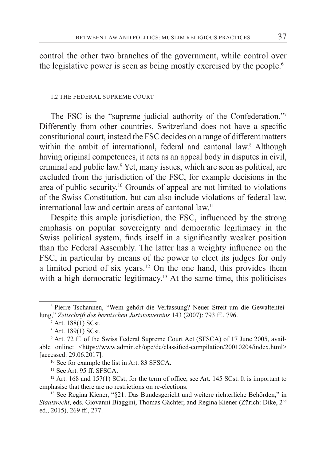control the other two branches of the government, while control over the legislative power is seen as being mostly exercised by the people.<sup>6</sup>

#### 1.2 THE FEDERAL SUPREME COURT

The FSC is the "supreme judicial authority of the Confederation."<sup>7</sup> Differently from other countries, Switzerland does not have a specific constitutional court, instead the FSC decides on a range of different matters within the ambit of international, federal and cantonal law.<sup>8</sup> Although having original competences, it acts as an appeal body in disputes in civil, criminal and public law.<sup>9</sup> Yet, many issues, which are seen as political, are excluded from the jurisdiction of the FSC, for example decisions in the area of public security.10 Grounds of appeal are not limited to violations of the Swiss Constitution, but can also include violations of federal law, international law and certain areas of cantonal law.11

Despite this ample jurisdiction, the FSC, influenced by the strong emphasis on popular sovereignty and democratic legitimacy in the Swiss political system, finds itself in a significantly weaker position than the Federal Assembly. The latter has a weighty influence on the FSC, in particular by means of the power to elect its judges for only a limited period of six years.12 On the one hand, this provides them with a high democratic legitimacy.<sup>13</sup> At the same time, this politicises

<sup>6</sup> Pierre Tschannen, "Wem gehört die Verfassung? Neuer Streit um die Gewaltenteilung," *Zeitschrift des bernischen Juristenvereins* 143 (2007): 793 ff., 796.

<sup>7</sup> Art. 188(1) SCst.

<sup>8</sup> Art. 189(1) SCst.

<sup>9</sup> Art. 72 ff. of the Swiss Federal Supreme Court Act (SFSCA) of 17 June 2005, available online: <https://www.admin.ch/opc/de/classified-compilation/20010204/index.html> [accessed: 29.06.2017].

<sup>10</sup> See for example the list in Art. 83 SFSCA.

<sup>&</sup>lt;sup>11</sup> See Art. 95 ff. SFSCA.

 $12$  Art. 168 and 157(1) SCst; for the term of office, see Art. 145 SCst. It is important to emphasise that there are no restrictions on re-elections.

<sup>13</sup> See Regina Kiener, "§21: Das Bundesgericht und weitere richterliche Behörden," in *Staatsrecht*, eds. Giovanni Biaggini, Thomas Gächter, and Regina Kiener (Zürich: Dike, 2nd ed., 2015), 269 ff., 277.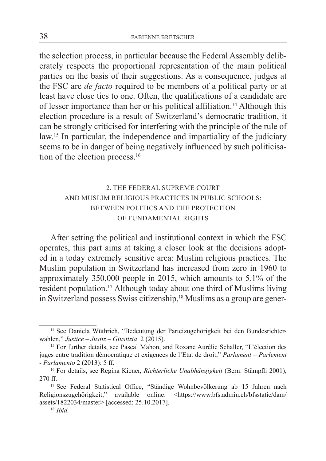the selection process, in particular because the Federal Assembly deliberately respects the proportional representation of the main political parties on the basis of their suggestions. As a consequence, judges at the FSC are *de facto* required to be members of a political party or at least have close ties to one. Often, the qualifications of a candidate are of lesser importance than her or his political affiliation.14 Although this election procedure is a result of Switzerland's democratic tradition, it can be strongly criticised for interfering with the principle of the rule of law.15 In particular, the independence and impartiality of the judiciary seems to be in danger of being negatively influenced by such politicisation of the election process.<sup>16</sup>

# 2. THE FEDERAL SUPREME COURT AND MUSLIM RELIGIOUS PRACTICES IN PUBLIC SCHOOLS: BETWEEN POLITICS AND THE PROTECTION OF FUNDAMENTAL RIGHTS

After setting the political and institutional context in which the FSC operates, this part aims at taking a closer look at the decisions adopted in a today extremely sensitive area: Muslim religious practices. The Muslim population in Switzerland has increased from zero in 1960 to approximately 350,000 people in 2015, which amounts to 5.1% of the resident population.17 Although today about one third of Muslims living in Switzerland possess Swiss citizenship,<sup>18</sup> Muslims as a group are gener-

<sup>14</sup> See Daniela Wüthrich, "Bedeutung der Parteizugehörigkeit bei den Bundesrichterwahlen," *Justice – Justiz – Giustizia* 2 (2015).

<sup>&</sup>lt;sup>15</sup> For further details, see Pascal Mahon, and Roxane Aurélie Schaller, "L'élection des juges entre tradition démocratique et exigences de l'Etat de droit," *Parlament – Parlement - Parlamento* 2 (2013): 5 ff.

<sup>16</sup> For details, see Regina Kiener, *Richterliche Unabhängigkeit* (Bern: Stämpfli 2001), 270 ff.

<sup>&</sup>lt;sup>17</sup> See Federal Statistical Office, "Ständige Wohnbevölkerung ab 15 Jahren nach Religionszugehörigkeit," available online: <https://www.bfs.admin.ch/bfsstatic/dam/ assets/1822034/master> [accessed: 25.10.2017].

<sup>18</sup> *Ibid.*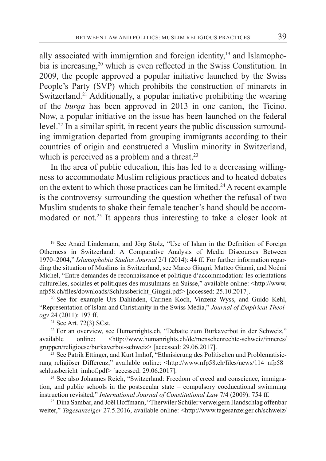ally associated with immigration and foreign identity, $19$  and Islamophobia is increasing,<sup>20</sup> which is even reflected in the Swiss Constitution. In 2009, the people approved a popular initiative launched by the Swiss People's Party (SVP) which prohibits the construction of minarets in Switzerland.<sup>21</sup> Additionally, a popular initiative prohibiting the wearing of the *burqa* has been approved in 2013 in one canton, the Ticino. Now, a popular initiative on the issue has been launched on the federal level.<sup>22</sup> In a similar spirit, in recent years the public discussion surrounding immigration departed from grouping immigrants according to their countries of origin and constructed a Muslim minority in Switzerland, which is perceived as a problem and a threat.<sup>23</sup>

In the area of public education, this has led to a decreasing willingness to accommodate Muslim religious practices and to heated debates on the extent to which those practices can be limited.<sup>24</sup> A recent example is the controversy surrounding the question whether the refusal of two Muslim students to shake their female teacher's hand should be accommodated or not.25 It appears thus interesting to take a closer look at

<sup>19</sup> See Anaïd Lindemann, and Jörg Stolz, "Use of Islam in the Definition of Foreign Otherness in Switzerland: A Comparative Analysis of Media Discourses Between 1970–2004," *Islamophobia Studies Journal* 2/1 (2014): 44 ff. For further information regarding the situation of Muslims in Switzerland, see Marco Giugni, Matteo Gianni, and Noémi Michel, "Entre demandes de reconnaissance et politique d'accommodation: les orientations culturelles, sociales et politiques des musulmans en Suisse," available online: <http://www. nfp58.ch/files/downloads/Schlussbericht\_Giugni.pdf> [accessed: 25.10.2017].

<sup>20</sup> See for example Urs Dahinden, Carmen Koch, Vinzenz Wyss, and Guido Kehl, "Representation of Islam and Christianity in the Swiss Media," *Journal of Empirical Theology* 24 (2011): 197 ff.

<sup>21</sup> See Art. 72(3) SCst.

<sup>&</sup>lt;sup>22</sup> For an overview, see Humanrights.ch, "Debatte zum Burkaverbot in der Schweiz," available online: <http://www.humanrights.ch/de/menschenrechte-schweiz/inneres/ gruppen/religioese/burkaverbot-schweiz> [accessed: 29.06.2017].

<sup>&</sup>lt;sup>23</sup> See Patrik Ettinger, and Kurt Imhof, "Ethnisierung des Politischen und Problematisierung religiöser Differenz," available online: <http://www.nfp58.ch/files/news/114\_nfp58\_ schlussbericht\_imhof.pdf> [accessed: 29.06.2017].

<sup>24</sup> See also Johannes Reich, "Switzerland: Freedom of creed and conscience, immigration, and public schools in the postsecular state – compulsory coeducational swimming instruction revisited," *International Journal of Constitutional Law* 7/4 (2009): 754 ff.

<sup>25</sup> Dina Sambar, and Joël Hoffmann, "Therwiler Schüler verweigern Handschlag offenbar weiter," *Tagesanzeiger* 27.5.2016, available online: <http://www.tagesanzeiger.ch/schweiz/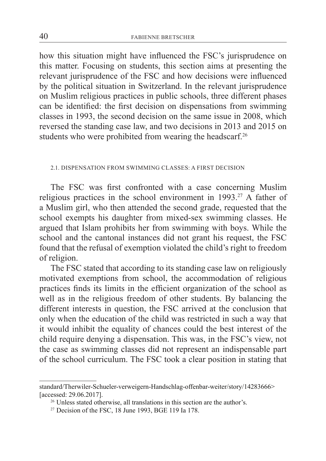how this situation might have influenced the FSC's jurisprudence on this matter. Focusing on students, this section aims at presenting the relevant jurisprudence of the FSC and how decisions were influenced by the political situation in Switzerland. In the relevant jurisprudence on Muslim religious practices in public schools, three different phases can be identified: the first decision on dispensations from swimming classes in 1993, the second decision on the same issue in 2008, which reversed the standing case law, and two decisions in 2013 and 2015 on students who were prohibited from wearing the headscarf.<sup>26</sup>

### 2.1. DISPENSATION FROM SWIMMING CLASSES: A FIRST DECISION

The FSC was first confronted with a case concerning Muslim religious practices in the school environment in 1993.<sup>27</sup> A father of a Muslim girl, who then attended the second grade, requested that the school exempts his daughter from mixed-sex swimming classes. He argued that Islam prohibits her from swimming with boys. While the school and the cantonal instances did not grant his request, the FSC found that the refusal of exemption violated the child's right to freedom of religion.

The FSC stated that according to its standing case law on religiously motivated exemptions from school, the accommodation of religious practices finds its limits in the efficient organization of the school as well as in the religious freedom of other students. By balancing the different interests in question, the FSC arrived at the conclusion that only when the education of the child was restricted in such a way that it would inhibit the equality of chances could the best interest of the child require denying a dispensation. This was, in the FSC's view, not the case as swimming classes did not represent an indispensable part of the school curriculum. The FSC took a clear position in stating that

standard/Therwiler-Schueler-verweigern-Handschlag-offenbar-weiter/story/14283666> [accessed: 29.06.2017].

<sup>26</sup> Unless stated otherwise, all translations in this section are the author's.

<sup>27</sup> Decision of the FSC, 18 June 1993, BGE 119 Ia 178.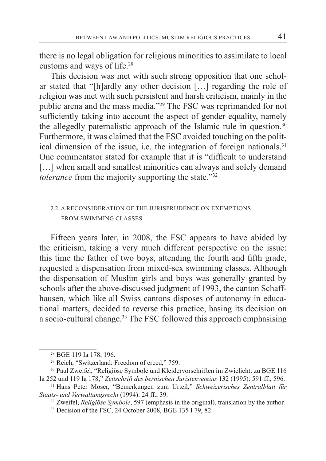there is no legal obligation for religious minorities to assimilate to local customs and ways of life.28

This decision was met with such strong opposition that one scholar stated that "[h]ardly any other decision […] regarding the role of religion was met with such persistent and harsh criticism, mainly in the public arena and the mass media."<sup>29</sup> The FSC was reprimanded for not sufficiently taking into account the aspect of gender equality, namely the allegedly paternalistic approach of the Islamic rule in question.<sup>30</sup> Furthermore, it was claimed that the FSC avoided touching on the political dimension of the issue, i.e. the integration of foreign nationals.<sup>31</sup> One commentator stated for example that it is "difficult to understand [...] when small and smallest minorities can always and solely demand *tolerance* from the majority supporting the state."<sup>32</sup>

### 2.2. A RECONSIDERATION OF THE JURISPRUDENCE ON EXEMPTIONS FROM SWIMMING CLASSES

Fifteen years later, in 2008, the FSC appears to have abided by the criticism, taking a very much different perspective on the issue: this time the father of two boys, attending the fourth and fifth grade, requested a dispensation from mixed-sex swimming classes. Although the dispensation of Muslim girls and boys was generally granted by schools after the above-discussed judgment of 1993, the canton Schaffhausen, which like all Swiss cantons disposes of autonomy in educational matters, decided to reverse this practice, basing its decision on a socio-cultural change.<sup>33</sup> The FSC followed this approach emphasising

<sup>28</sup> BGE 119 Ia 178, 196.

<sup>29</sup> Reich, "Switzerland: Freedom of creed," 759.

<sup>30</sup> Paul Zweifel, "Religiöse Symbole und Kleidervorschriften im Zwielicht: zu BGE 116 Ia 252 und 119 Ia 178," *Zeitschrift des bernischen Juristenvereins* 132 (1995): 591 ff., 596.

<sup>31</sup> Hans Peter Moser, "Bemerkungen zum Urteil," *Schweizerisches Zentralblatt für Staats- und Verwaltungsrecht* (1994): 24 ff., 39.

<sup>&</sup>lt;sup>32</sup> Zweifel, *Religiöse Symbole*, 597 (emphasis in the original), translation by the author. <sup>33</sup> Decision of the FSC, 24 October 2008, BGE 135 I 79, 82.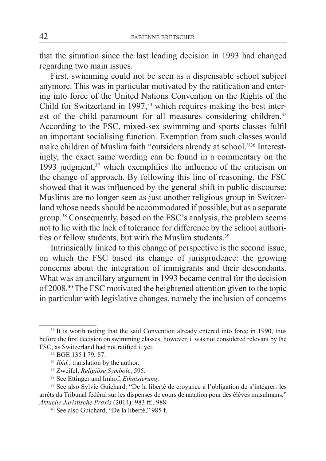that the situation since the last leading decision in 1993 had changed regarding two main issues.

First, swimming could not be seen as a dispensable school subject anymore. This was in particular motivated by the ratification and entering into force of the United Nations Convention on the Rights of the Child for Switzerland in 1997, $34$  which requires making the best interest of the child paramount for all measures considering children.<sup>35</sup> According to the FSC, mixed-sex swimming and sports classes fulfil an important socialising function. Exemption from such classes would make children of Muslim faith "outsiders already at school."36 Interestingly, the exact same wording can be found in a commentary on the 1993 judgment, $37$  which exemplifies the influence of the criticism on the change of approach. By following this line of reasoning, the FSC showed that it was influenced by the general shift in public discourse: Muslims are no longer seen as just another religious group in Switzerland whose needs should be accommodated if possible, but as a separate group.38 Consequently, based on the FSC's analysis, the problem seems not to lie with the lack of tolerance for difference by the school authorities or fellow students, but with the Muslim students.<sup>39</sup>

Intrinsically linked to this change of perspective is the second issue, on which the FSC based its change of jurisprudence: the growing concerns about the integration of immigrants and their descendants. What was an ancillary argument in 1993 became central for the decision of 2008.40 The FSC motivated the heightened attention given to the topic in particular with legislative changes, namely the inclusion of concerns

<sup>&</sup>lt;sup>34</sup> It is worth noting that the said Convention already entered into force in 1990, thus before the first decision on swimming classes, however, it was not considered relevant by the FSC, as Switzerland had not ratified it yet.

<sup>35</sup> BGE 135 I 79, 87.

<sup>&</sup>lt;sup>36</sup> *Ibid.*, translation by the author.

<sup>37</sup> Zweifel, *Religiöse Symbole*, 595.

<sup>38</sup> See Ettinger and Imhof, *Ethnisierung*.

<sup>39</sup> See also Sylvie Guichard, "De la liberté de croyance à l'obligation de s'intégrer: les arrêts du Tribunal fédéral sur les dispenses de cours de natation pour des élèves musulmans," *Aktuelle Juristische Praxis* (2014): 983 ff., 988.

<sup>40</sup> See also Guichard, "De la liberté," 985 f.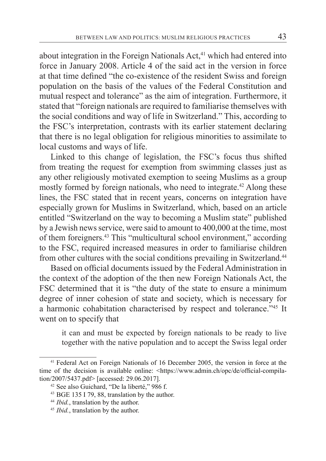about integration in the Foreign Nationals  $Act<sup>41</sup>$  which had entered into force in January 2008. Article 4 of the said act in the version in force at that time defined "the co-existence of the resident Swiss and foreign population on the basis of the values of the Federal Constitution and mutual respect and tolerance" as the aim of integration. Furthermore, it stated that "foreign nationals are required to familiarise themselves with the social conditions and way of life in Switzerland." This, according to the FSC's interpretation, contrasts with its earlier statement declaring that there is no legal obligation for religious minorities to assimilate to local customs and ways of life.

Linked to this change of legislation, the FSC's focus thus shifted from treating the request for exemption from swimming classes just as any other religiously motivated exemption to seeing Muslims as a group mostly formed by foreign nationals, who need to integrate.<sup>42</sup> Along these lines, the FSC stated that in recent years, concerns on integration have especially grown for Muslims in Switzerland, which, based on an article entitled "Switzerland on the way to becoming a Muslim state" published by a Jewish news service, were said to amount to 400,000 at the time, most of them foreigners.43 This "multicultural school environment," according to the FSC, required increased measures in order to familiarise children from other cultures with the social conditions prevailing in Switzerland.<sup>44</sup>

Based on official documents issued by the Federal Administration in the context of the adoption of the then new Foreign Nationals Act, the FSC determined that it is "the duty of the state to ensure a minimum degree of inner cohesion of state and society, which is necessary for a harmonic cohabitation characterised by respect and tolerance."45 It went on to specify that

it can and must be expected by foreign nationals to be ready to live together with the native population and to accept the Swiss legal order

<sup>41</sup> Federal Act on Foreign Nationals of 16 December 2005, the version in force at the time of the decision is available online: <https://www.admin.ch/opc/de/official-compilation/2007/5437.pdf> [accessed: 29.06.2017].

<sup>42</sup> See also Guichard, "De la liberté," 986 f.

<sup>43</sup> BGE 135 I 79, 88, translation by the author. 44 *Ibid.*, translation by the author.

<sup>&</sup>lt;sup>45</sup> *Ibid.*, translation by the author.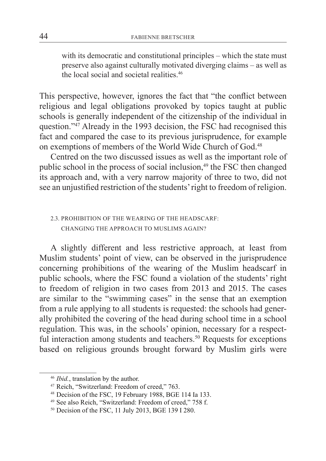with its democratic and constitutional principles – which the state must preserve also against culturally motivated diverging claims – as well as the local social and societal realities.46

This perspective, however, ignores the fact that "the conflict between religious and legal obligations provoked by topics taught at public schools is generally independent of the citizenship of the individual in question."<sup>47</sup> Already in the 1993 decision, the FSC had recognised this fact and compared the case to its previous jurisprudence, for example on exemptions of members of the World Wide Church of God.48

Centred on the two discussed issues as well as the important role of public school in the process of social inclusion, $49$  the FSC then changed its approach and, with a very narrow majority of three to two, did not see an unjustified restriction of the students' right to freedom of religion.

## 2.3. PROHIBITION OF THE WEARING OF THE HEADSCARF: CHANGING THE APPROACH TO MUSLIMS AGAIN?

A slightly different and less restrictive approach, at least from Muslim students' point of view, can be observed in the jurisprudence concerning prohibitions of the wearing of the Muslim headscarf in public schools, where the FSC found a violation of the students' right to freedom of religion in two cases from 2013 and 2015. The cases are similar to the "swimming cases" in the sense that an exemption from a rule applying to all students is requested: the schools had generally prohibited the covering of the head during school time in a school regulation. This was, in the schools' opinion, necessary for a respectful interaction among students and teachers.<sup>50</sup> Requests for exceptions based on religious grounds brought forward by Muslim girls were

<sup>46</sup> *Ibid.*, translation by the author.

<sup>47</sup> Reich, "Switzerland: Freedom of creed," 763.

<sup>48</sup> Decision of the FSC, 19 February 1988, BGE 114 Ia 133.

<sup>49</sup> See also Reich, "Switzerland: Freedom of creed," 758 f.

<sup>50</sup> Decision of the FSC, 11 July 2013, BGE 139 I 280.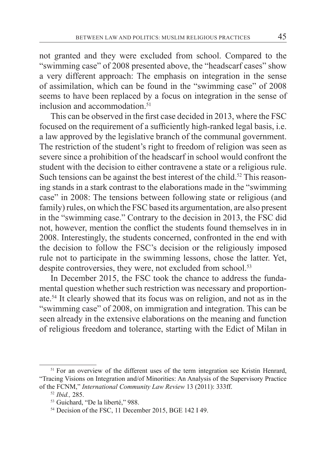not granted and they were excluded from school. Compared to the "swimming case" of 2008 presented above, the "headscarf cases" show a very different approach: The emphasis on integration in the sense of assimilation, which can be found in the "swimming case" of 2008 seems to have been replaced by a focus on integration in the sense of inclusion and accommodation $51$ 

This can be observed in the first case decided in 2013, where the FSC focused on the requirement of a sufficiently high-ranked legal basis, i.e. a law approved by the legislative branch of the communal government. The restriction of the student's right to freedom of religion was seen as severe since a prohibition of the headscarf in school would confront the student with the decision to either contravene a state or a religious rule. Such tensions can be against the best interest of the child.<sup>52</sup> This reasoning stands in a stark contrast to the elaborations made in the "swimming case" in 2008: The tensions between following state or religious (and family) rules, on which the FSC based its argumentation, are also present in the "swimming case." Contrary to the decision in 2013, the FSC did not, however, mention the conflict the students found themselves in in 2008. Interestingly, the students concerned, confronted in the end with the decision to follow the FSC's decision or the religiously imposed rule not to participate in the swimming lessons, chose the latter. Yet, despite controversies, they were, not excluded from school.<sup>53</sup>

In December 2015, the FSC took the chance to address the fundamental question whether such restriction was necessary and proportionate.54 It clearly showed that its focus was on religion, and not as in the "swimming case" of 2008, on immigration and integration. This can be seen already in the extensive elaborations on the meaning and function of religious freedom and tolerance, starting with the Edict of Milan in

<sup>&</sup>lt;sup>51</sup> For an overview of the different uses of the term integration see Kristin Henrard, "Tracing Visions on Integration and/of Minorities: An Analysis of the Supervisory Practice of the FCNM," *International Community Law Review* 13 (2011): 333ff.

<sup>52</sup> *Ibid.,* 285.

<sup>53</sup> Guichard, "De la liberté," 988.

<sup>54</sup> Decision of the FSC, 11 December 2015, BGE 142 I 49.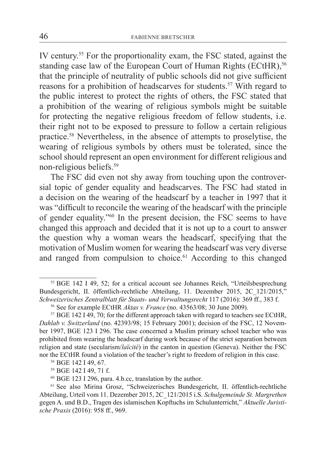IV century.55 For the proportionality exam, the FSC stated, against the standing case law of the European Court of Human Rights (ECtHR).<sup>56</sup> that the principle of neutrality of public schools did not give sufficient reasons for a prohibition of headscarves for students.<sup>57</sup> With regard to the public interest to protect the rights of others, the FSC stated that a prohibition of the wearing of religious symbols might be suitable for protecting the negative religious freedom of fellow students, i.e. their right not to be exposed to pressure to follow a certain religious practice.58 Nevertheless, in the absence of attempts to proselytise, the wearing of religious symbols by others must be tolerated, since the school should represent an open environment for different religious and non-religious beliefs.59

The FSC did even not shy away from touching upon the controversial topic of gender equality and headscarves. The FSC had stated in a decision on the wearing of the headscarf by a teacher in 1997 that it was "difficult to reconcile the wearing of the headscarf with the principle of gender equality."60 In the present decision, the FSC seems to have changed this approach and decided that it is not up to a court to answer the question why a woman wears the headscarf, specifying that the motivation of Muslim women for wearing the headscarf was very diverse and ranged from compulsion to choice.<sup>61</sup> According to this changed

<sup>55</sup> BGE 142 I 49, 52; for a critical account see Johannes Reich, "Urteilsbesprechung Bundesgericht, II. öffentlich-rechtliche Abteilung, 11. Dezember 2015, 2C\_121/2015," *Schweizerisches Zentralblatt für Staats- und Verwaltungsrecht* 117 (2016): 369 ff., 383 f.

<sup>56</sup> See for example ECtHR *Aktas v. France* (no. 43563/08; 30 June 2009).

<sup>&</sup>lt;sup>57</sup> BGE 142 I 49, 70; for the different approach taken with regard to teachers see ECtHR, *Dahlab v. Switzerland* (no. 42393/98; 15 February 2001); decision of the FSC, 12 November 1997, BGE 123 I 296. The case concerned a Muslim primary school teacher who was prohibited from wearing the headscarf during work because of the strict separation between religion and state (secularism/*laïcité*) in the canton in question (Geneva). Neither the FSC nor the ECtHR found a violation of the teacher's right to freedom of religion in this case.

<sup>58</sup> BGE 142 I 49, 67.

<sup>59</sup> BGE 142 I 49, 71 f.

<sup>60</sup> BGE 123 I 296, para. 4.b.cc, translation by the author.

<sup>61</sup> See also Mirina Grosz, "Schweizerisches Bundesgericht, II. öffentlich-rechtliche Abteilung, Urteil vom 11. Dezember 2015, 2C\_121/2015 i.S. *Schulgemeinde St. Margrethen* gegen A. und B.D., Tragen des islamischen Kopftuchs im Schulunterricht," *Aktuelle Juristische Praxis* (2016): 958 ff., 969.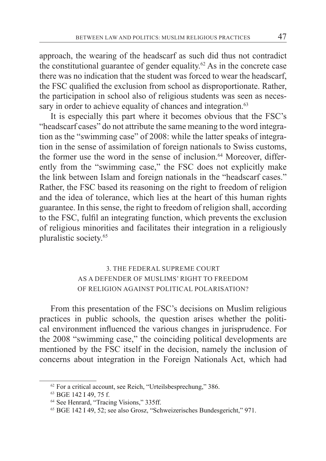approach, the wearing of the headscarf as such did thus not contradict the constitutional guarantee of gender equality.<sup>62</sup> As in the concrete case there was no indication that the student was forced to wear the headscarf, the FSC qualified the exclusion from school as disproportionate. Rather, the participation in school also of religious students was seen as necessary in order to achieve equality of chances and integration.<sup>63</sup>

It is especially this part where it becomes obvious that the FSC's "headscarf cases" do not attribute the same meaning to the word integration as the "swimming case" of 2008: while the latter speaks of integration in the sense of assimilation of foreign nationals to Swiss customs, the former use the word in the sense of inclusion. $64$  Moreover, differently from the "swimming case," the FSC does not explicitly make the link between Islam and foreign nationals in the "headscarf cases." Rather, the FSC based its reasoning on the right to freedom of religion and the idea of tolerance, which lies at the heart of this human rights guarantee. In this sense, the right to freedom of religion shall, according to the FSC, fulfil an integrating function, which prevents the exclusion of religious minorities and facilitates their integration in a religiously pluralistic society.65

# 3. THE FEDERAL SUPREME COURT AS A DEFENDER OF MUSLIMS' RIGHT TO FREEDOM OF RELIGION AGAINST POLITICAL POLARISATION?

From this presentation of the FSC's decisions on Muslim religious practices in public schools, the question arises whether the political environment influenced the various changes in jurisprudence. For the 2008 "swimming case," the coinciding political developments are mentioned by the FSC itself in the decision, namely the inclusion of concerns about integration in the Foreign Nationals Act, which had

<sup>62</sup> For a critical account, see Reich, "Urteilsbesprechung," 386.

<sup>63</sup> BGE 142 I 49, 75 f.

<sup>64</sup> See Henrard, "Tracing Visions," 335ff.

<sup>65</sup> BGE 142 I 49, 52; see also Grosz, "Schweizerisches Bundesgericht," 971.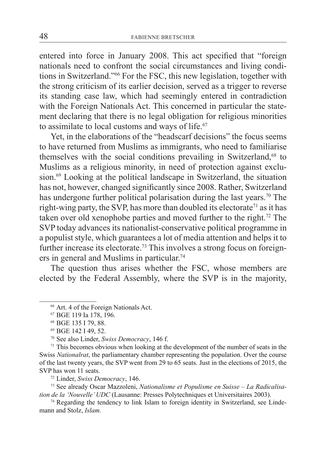entered into force in January 2008. This act specified that "foreign nationals need to confront the social circumstances and living conditions in Switzerland."66 For the FSC, this new legislation, together with the strong criticism of its earlier decision, served as a trigger to reverse its standing case law, which had seemingly entered in contradiction with the Foreign Nationals Act. This concerned in particular the statement declaring that there is no legal obligation for religious minorities to assimilate to local customs and ways of life.<sup>67</sup>

Yet, in the elaborations of the "headscarf decisions" the focus seems to have returned from Muslims as immigrants, who need to familiarise themselves with the social conditions prevailing in Switzerland,<sup>68</sup> to Muslims as a religious minority, in need of protection against exclusion.69 Looking at the political landscape in Switzerland, the situation has not, however, changed significantly since 2008. Rather, Switzerland has undergone further political polarisation during the last years.<sup>70</sup> The right-wing party, the SVP, has more than doubled its electorate<sup>71</sup> as it has taken over old xenophobe parties and moved further to the right.72 The SVP today advances its nationalist-conservative political programme in a populist style, which guarantees a lot of media attention and helps it to further increase its electorate.<sup>73</sup> This involves a strong focus on foreigners in general and Muslims in particular.<sup>74</sup>

The question thus arises whether the FSC, whose members are elected by the Federal Assembly, where the SVP is in the majority,

<sup>66</sup> Art. 4 of the Foreign Nationals Act.

<sup>67</sup> BGE 119 Ia 178, 196.

<sup>68</sup> BGE 135 I 79, 88.

<sup>69</sup> BGE 142 I 49, 52.

<sup>70</sup> See also Linder, *Swiss Democracy*, 146 f.

<sup>71</sup> This becomes obvious when looking at the development of the number of seats in the Swiss *Nationalrat*, the parliamentary chamber representing the population. Over the course of the last twenty years, the SVP went from 29 to 65 seats. Just in the elections of 2015, the SVP has won 11 seats.

<sup>72</sup> Linder, *Swiss Democracy*, 146.

<sup>73</sup> See already Oscar Mazzoleni, *Nationalisme et Populisme en Suisse – La Radicalisation de la 'Nouvelle' UDC* (Lausanne: Presses Polytechniques et Universitaires 2003).

<sup>&</sup>lt;sup>74</sup> Regarding the tendency to link Islam to foreign identity in Switzerland, see Lindemann and Stolz, *Islam.*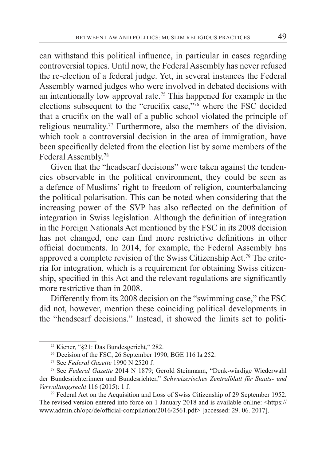can withstand this political influence, in particular in cases regarding controversial topics. Until now, the Federal Assembly has never refused the re-election of a federal judge. Yet, in several instances the Federal Assembly warned judges who were involved in debated decisions with an intentionally low approval rate.75 This happened for example in the elections subsequent to the "crucifix case,"76 where the FSC decided that a crucifix on the wall of a public school violated the principle of religious neutrality.77 Furthermore, also the members of the division, which took a controversial decision in the area of immigration, have been specifically deleted from the election list by some members of the Federal Assembly.78

Given that the "headscarf decisions" were taken against the tendencies observable in the political environment, they could be seen as a defence of Muslims' right to freedom of religion, counterbalancing the political polarisation. This can be noted when considering that the increasing power of the SVP has also reflected on the definition of integration in Swiss legislation. Although the definition of integration in the Foreign Nationals Act mentioned by the FSC in its 2008 decision has not changed, one can find more restrictive definitions in other official documents. In 2014, for example, the Federal Assembly has approved a complete revision of the Swiss Citizenship Act.79 The criteria for integration, which is a requirement for obtaining Swiss citizenship, specified in this Act and the relevant regulations are significantly more restrictive than in 2008.

Differently from its 2008 decision on the "swimming case," the FSC did not, however, mention these coinciding political developments in the "headscarf decisions." Instead, it showed the limits set to politi-

<sup>75</sup> Kiener, "§21: Das Bundesgericht," 282.

<sup>76</sup> Decision of the FSC, 26 September 1990, BGE 116 Ia 252.

<sup>77</sup> See *Federal Gazette* 1990 N 2520 f. 78 See *Federal Gazette* 2014 N 1879; Gerold Steinmann, "Denk-würdige Wiederwahl der Bundesrichterinnen und Bundesrichter," *Schweizerisches Zentralblatt für Staats- und Verwaltungsrecht* 116 (2015): 1 f.

<sup>79</sup> Federal Act on the Acquisition and Loss of Swiss Citizenship of 29 September 1952. The revised version entered into force on 1 January 2018 and is available online: <https:// www.admin.ch/opc/de/official-compilation/2016/2561.pdf> [accessed: 29. 06. 2017].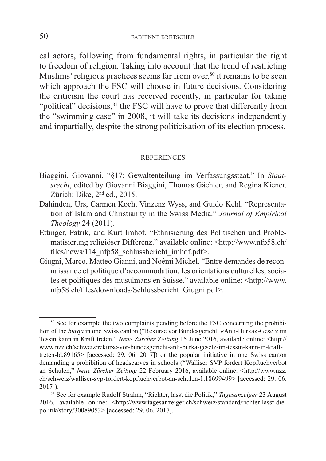cal actors, following from fundamental rights, in particular the right to freedom of religion. Taking into account that the trend of restricting Muslims' religious practices seems far from over,<sup>80</sup> it remains to be seen which approach the FSC will choose in future decisions. Considering the criticism the court has received recently, in particular for taking "political" decisions, <sup>81</sup> the FSC will have to prove that differently from the "swimming case" in 2008, it will take its decisions independently and impartially, despite the strong politicisation of its election process.

#### **REFERENCES**

- Biaggini, Giovanni. "§17: Gewaltenteilung im Verfassungsstaat." In *Staatsrecht*, edited by Giovanni Biaggini, Thomas Gächter, and Regina Kiener. Zürich: Dike, 2<sup>nd</sup> ed., 2015.
- Dahinden, Urs, Carmen Koch, Vinzenz Wyss, and Guido Kehl. "Representation of Islam and Christianity in the Swiss Media." *Journal of Empirical Theology* 24 (2011).
- Ettinger, Patrik, and Kurt Imhof. "Ethnisierung des Politischen und Problematisierung religiöser Differenz." available online: <http://www.nfp58.ch/ files/news/114\_nfp58\_schlussbericht\_imhof.pdf>.
- Giugni, Marco, Matteo Gianni, and Noémi Michel. "Entre demandes de reconnaissance et politique d'accommodation: les orientations culturelles, sociales et politiques des musulmans en Suisse." available online: <http://www. nfp58.ch/files/downloads/Schlussbericht\_Giugni.pdf>.

<sup>&</sup>lt;sup>80</sup> See for example the two complaints pending before the FSC concerning the prohibition of the *burqa* in one Swiss canton ("Rekurse vor Bundesgericht: «Anti-Burka»-Gesetz im Tessin kann in Kraft treten," *Neue Zürcher Zeitung* 15 June 2016, available online: <http:// www.nzz.ch/schweiz/rekurse-vor-bundesgericht-anti-burka-gesetz-im-tessin-kann-in-krafttreten-ld.89165> [accessed: 29. 06. 2017]) or the popular initiative in one Swiss canton demanding a prohibition of headscarves in schools ("Walliser SVP fordert Kopftuchverbot an Schulen," *Neue Zürcher Zeitung* 22 February 2016, available online: <http://www.nzz. ch/schweiz/walliser-svp-fordert-kopftuchverbot-an-schulen-1.18699499> [accessed: 29. 06. 2017]).

<sup>81</sup> See for example Rudolf Strahm, "Richter, lasst die Politik," *Tagesanzeiger* 23 August 2016, available online: <http://www.tagesanzeiger.ch/schweiz/standard/richter-lasst-diepolitik/story/30089053> [accessed: 29. 06. 2017].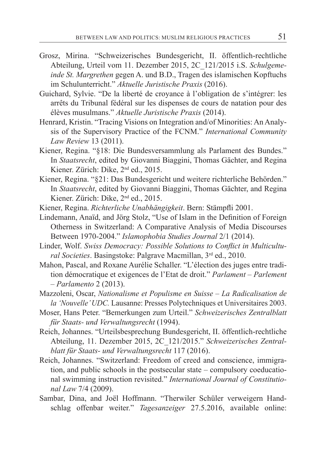- Grosz, Mirina. "Schweizerisches Bundesgericht, II. öffentlich-rechtliche Abteilung, Urteil vom 11. Dezember 2015, 2C\_121/2015 i.S. *Schulgemeinde St. Margrethen* gegen A. und B.D., Tragen des islamischen Kopftuchs im Schulunterricht." *Aktuelle Juristische Praxis* (2016).
- Guichard, Sylvie. "De la liberté de croyance à l'obligation de s'intégrer: les arrêts du Tribunal fédéral sur les dispenses de cours de natation pour des élèves musulmans." *Aktuelle Juristische Praxis* (2014).
- Henrard, Kristin. "Tracing Visions on Integration and/of Minorities: An Analysis of the Supervisory Practice of the FCNM." *International Community Law Review* 13 (2011).
- Kiener, Regina. "§18: Die Bundesversammlung als Parlament des Bundes." In *Staatsrecht*, edited by Giovanni Biaggini, Thomas Gächter, and Regina Kiener. Zürich: Dike, 2<sup>nd</sup> ed., 2015.
- Kiener, Regina. "§21: Das Bundesgericht und weitere richterliche Behörden." In *Staatsrecht*, edited by Giovanni Biaggini, Thomas Gächter, and Regina Kiener. Zürich: Dike, 2nd ed., 2015.
- Kiener, Regina. *Richterliche Unabhängigkeit*. Bern: Stämpfli 2001.
- Lindemann, Anaïd, and Jörg Stolz, "Use of Islam in the Definition of Foreign Otherness in Switzerland: A Comparative Analysis of Media Discourses Between 1970-2004." *Islamophobia Studies Journal* 2/1 (2014).
- Linder, Wolf. *Swiss Democracy: Possible Solutions to Conflict in Multicultural Societies*. Basingstoke: Palgrave Macmillan, 3rd ed., 2010.
- Mahon, Pascal, and Roxane Aurélie Schaller. "L'élection des juges entre tradition démocratique et exigences de l'Etat de droit." *Parlament – Parlement – Parlamento* 2 (2013).
- Mazzoleni, Oscar, *Nationalisme et Populisme en Suisse La Radicalisation de la 'Nouvelle' UDC.* Lausanne: Presses Polytechniques et Universitaires 2003.
- Moser, Hans Peter. "Bemerkungen zum Urteil." *Schweizerisches Zentralblatt für Staats- und Verwaltungsrecht* (1994).
- Reich, Johannes. "Urteilsbesprechung Bundesgericht, II. öffentlich-rechtliche Abteilung, 11. Dezember 2015, 2C\_121/2015." *Schweizerisches Zentralblatt für Staats- und Verwaltungsrecht* 117 (2016).
- Reich, Johannes. "Switzerland: Freedom of creed and conscience, immigration, and public schools in the postsecular state – compulsory coeducational swimming instruction revisited." *International Journal of Constitutional Law* 7/4 (2009).
- Sambar, Dina, and Joël Hoffmann. "Therwiler Schüler verweigern Handschlag offenbar weiter." *Tagesanzeiger* 27.5.2016, available online: